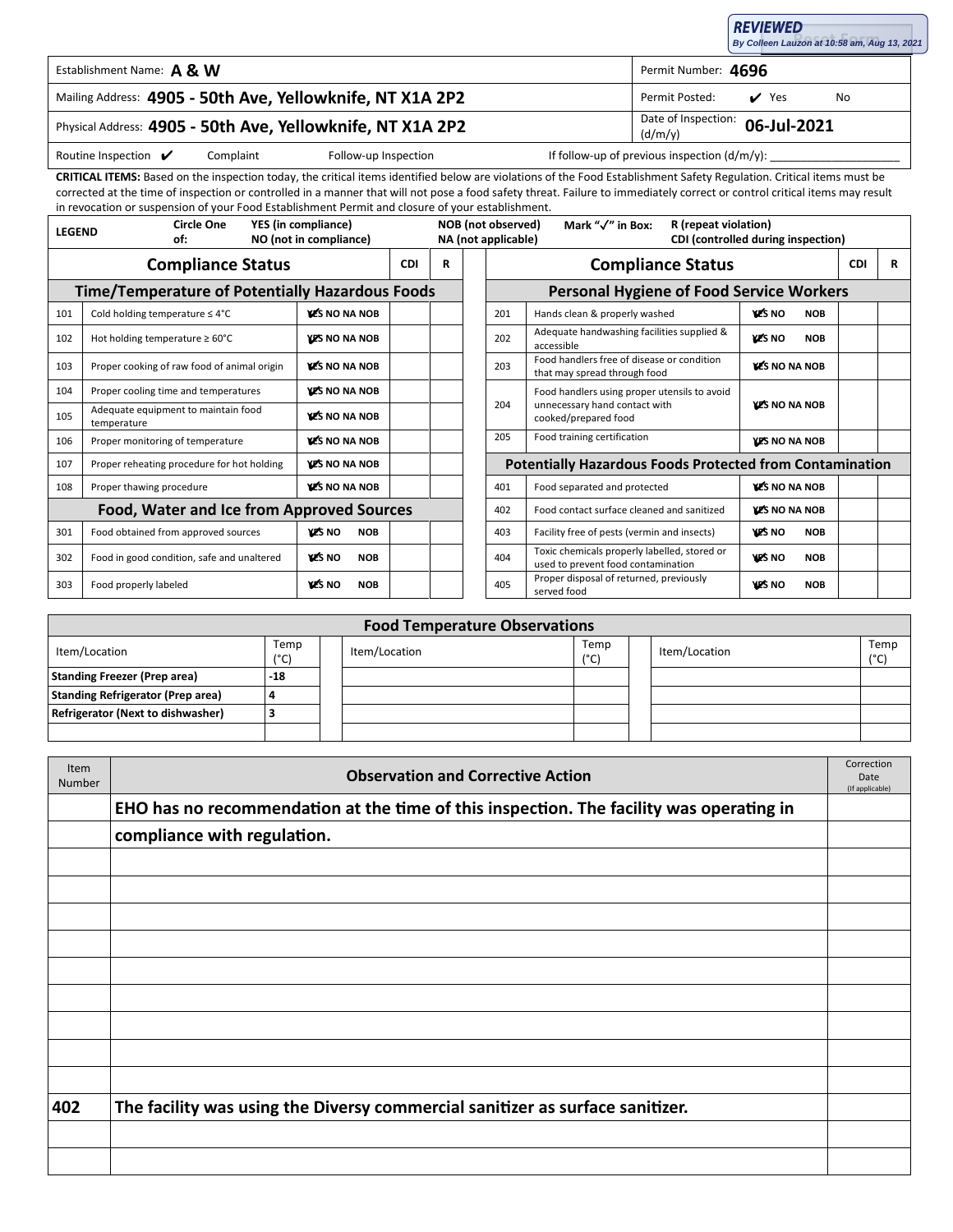| <b>REVIEWED</b>                             |  |
|---------------------------------------------|--|
| By Colleen Lauzon at 10:58 am, Aug 13, 2021 |  |

✔ Yes

**06-Jul-2021**

| Establishment Name: A & W | Permit Number: 4696 |  |
|---------------------------|---------------------|--|
|---------------------------|---------------------|--|

## Mailing Address: Permit Posted: Yes No **4905 - 50th Ave, Yellowknife, NT X1A 2P2**

## Physical Address: **4905 - 50th Ave, Yellowknife, NT X1A 2P2**  $\begin{array}{c} \text{Date of Information:} \\ \text{[d/m/v]} \end{array}$

Routine Inspection ✔

Complaint Follow-up Inspection If follow-up of previous inspection (d/m/y):

(d/m/y)

**CRITICAL ITEMS:** Based on the inspection today, the critical items identified below are violations of the Food Establishment Safety Regulation. Critical items must be corrected at the time of inspection or controlled in a manner that will not pose a food safety threat. Failure to immediately correct or control critical items may result in revocation or suspension of your Food Establishment Permit and closure of your establishment.

| <b>Circle One</b><br>YES (in compliance)<br><b>LEGEND</b><br>NO (not in compliance)<br>of: |                                                    | NOB (not observed)<br>Mark "√" in Box:<br>R (repeat violation)<br>NA (not applicable)<br>CDI (controlled during inspection) |            |   |  |                                                              |                                                                                    |                             |  |  |
|--------------------------------------------------------------------------------------------|----------------------------------------------------|-----------------------------------------------------------------------------------------------------------------------------|------------|---|--|--------------------------------------------------------------|------------------------------------------------------------------------------------|-----------------------------|--|--|
| <b>Compliance Status</b>                                                                   |                                                    |                                                                                                                             | <b>CDI</b> | R |  |                                                              | <b>Compliance Status</b>                                                           |                             |  |  |
| <b>Time/Temperature of Potentially Hazardous Foods</b>                                     |                                                    |                                                                                                                             |            |   |  |                                                              | <b>Personal Hygiene of Food Service Workers</b>                                    |                             |  |  |
| 101                                                                                        | Cold holding temperature $\leq 4^{\circ}C$         | <b>YES NO NA NOB</b>                                                                                                        |            |   |  | 201                                                          | Hands clean & properly washed                                                      | <b>VES NO</b><br><b>NOB</b> |  |  |
| 102                                                                                        | Hot holding temperature $\geq 60^{\circ}$ C        | <b>YES NO NA NOB</b>                                                                                                        |            |   |  | 202                                                          | Adequate handwashing facilities supplied &<br>accessible                           | <b>VES NO</b><br><b>NOB</b> |  |  |
| 103                                                                                        | Proper cooking of raw food of animal origin        | <b>YES NO NA NOB</b>                                                                                                        |            |   |  | 203                                                          | Food handlers free of disease or condition<br>that may spread through food         | <b>VES NO NA NOB</b>        |  |  |
| 104                                                                                        | Proper cooling time and temperatures               | <b>YES NO NA NOB</b>                                                                                                        |            |   |  |                                                              | Food handlers using proper utensils to avoid                                       |                             |  |  |
| 105                                                                                        | Adequate equipment to maintain food<br>temperature | <b>WE'S NO NA NOB</b>                                                                                                       |            |   |  | 204<br>unnecessary hand contact with<br>cooked/prepared food |                                                                                    | <b>YES NO NA NOB</b>        |  |  |
| 106                                                                                        | Proper monitoring of temperature                   | <b>WE'S NO NA NOB</b>                                                                                                       |            |   |  | 205                                                          | Food training certification                                                        | <b>YES NO NA NOB</b>        |  |  |
| 107                                                                                        | Proper reheating procedure for hot holding         | <b>YES NO NA NOB</b>                                                                                                        |            |   |  |                                                              | <b>Potentially Hazardous Foods Protected from Contamination</b>                    |                             |  |  |
| 108                                                                                        | <b>VES NO NA NOB</b><br>Proper thawing procedure   |                                                                                                                             |            |   |  | 401                                                          | Food separated and protected                                                       | <b>YES NO NA NOB</b>        |  |  |
| Food, Water and Ice from Approved Sources                                                  |                                                    |                                                                                                                             |            |   |  | 402                                                          | Food contact surface cleaned and sanitized                                         | <b>YES NO NA NOB</b>        |  |  |
| 301                                                                                        | Food obtained from approved sources                | <b>YES NO</b><br><b>NOB</b>                                                                                                 |            |   |  | 403                                                          | Facility free of pests (vermin and insects)                                        | <b>YES NO</b><br><b>NOB</b> |  |  |
| 302                                                                                        | Food in good condition, safe and unaltered         | <b>YES NO</b><br><b>NOB</b>                                                                                                 |            |   |  | 404                                                          | Toxic chemicals properly labelled, stored or<br>used to prevent food contamination | <b>YES NO</b><br><b>NOB</b> |  |  |
| 303                                                                                        | Food properly labeled                              | <b>YES NO</b><br><b>NOB</b>                                                                                                 |            |   |  | 405                                                          | Proper disposal of returned, previously<br>served food                             | YES NO<br><b>NOB</b>        |  |  |

| <b>Food Temperature Observations</b>     |                       |  |               |             |  |               |                       |  |
|------------------------------------------|-----------------------|--|---------------|-------------|--|---------------|-----------------------|--|
| Item/Location                            | Temp<br>$(^{\circ}C)$ |  | Item/Location | Temp<br>(°C |  | Item/Location | Temp<br>$(^{\circ}C)$ |  |
| <b>Standing Freezer (Prep area)</b>      | $-18$                 |  |               |             |  |               |                       |  |
| <b>Standing Refrigerator (Prep area)</b> |                       |  |               |             |  |               |                       |  |
| Refrigerator (Next to dishwasher)        |                       |  |               |             |  |               |                       |  |
|                                          |                       |  |               |             |  |               |                       |  |

| Item<br><b>Number</b> | <b>Observation and Corrective Action</b>                                                | Correction<br>Date<br>(If applicable) |
|-----------------------|-----------------------------------------------------------------------------------------|---------------------------------------|
|                       | EHO has no recommendation at the time of this inspection. The facility was operating in |                                       |
|                       | compliance with regulation.                                                             |                                       |
|                       |                                                                                         |                                       |
|                       |                                                                                         |                                       |
|                       |                                                                                         |                                       |
|                       |                                                                                         |                                       |
|                       |                                                                                         |                                       |
|                       |                                                                                         |                                       |
|                       |                                                                                         |                                       |
|                       |                                                                                         |                                       |
|                       |                                                                                         |                                       |
| 402                   | The facility was using the Diversy commercial sanitizer as surface sanitizer.           |                                       |
|                       |                                                                                         |                                       |
|                       |                                                                                         |                                       |